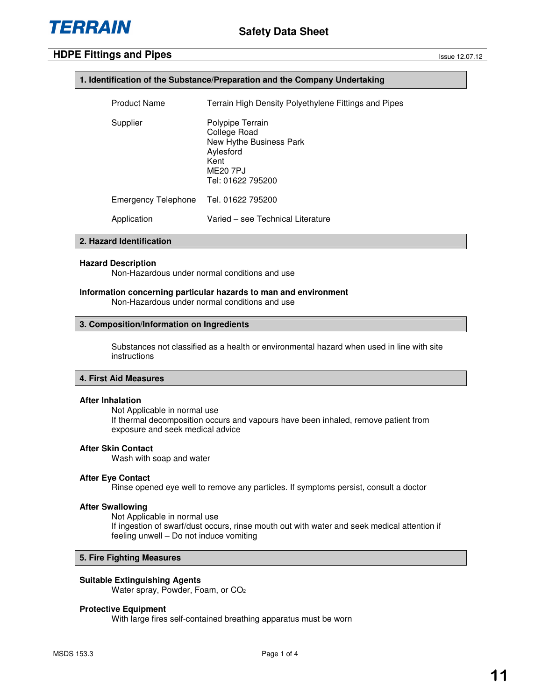## **1. Identification of the Substance/Preparation and the Company Undertaking**

| <b>Product Name</b> | Terrain High Density Polyethylene Fittings and Pipes                                                              |
|---------------------|-------------------------------------------------------------------------------------------------------------------|
| Supplier            | Polypipe Terrain<br>College Road<br>New Hythe Business Park<br>Aylesford<br>Kent<br>ME20 7PJ<br>Tel: 01622 795200 |
| Emergency Telephone | Tel. 01622 795200                                                                                                 |
| Application         | Varied – see Technical Literature                                                                                 |

## **2. Hazard Identification**

#### **Hazard Description**

Non-Hazardous under normal conditions and use

## **Information concerning particular hazards to man and environment**

Non-Hazardous under normal conditions and use

#### **3. Composition/Information on Ingredients**

Substances not classified as a health or environmental hazard when used in line with site instructions

## **4. First Aid Measures**

#### **After Inhalation**

Not Applicable in normal use If thermal decomposition occurs and vapours have been inhaled, remove patient from exposure and seek medical advice

## **After Skin Contact**

Wash with soap and water

#### **After Eye Contact**

Rinse opened eye well to remove any particles. If symptoms persist, consult a doctor

## **After Swallowing**

Not Applicable in normal use If ingestion of swarf/dust occurs, rinse mouth out with water and seek medical attention if feeling unwell – Do not induce vomiting

## **5. Fire Fighting Measures**

## **Suitable Extinguishing Agents**

Water spray, Powder, Foam, or CO<sup>2</sup>

## **Protective Equipment**

With large fires self-contained breathing apparatus must be worn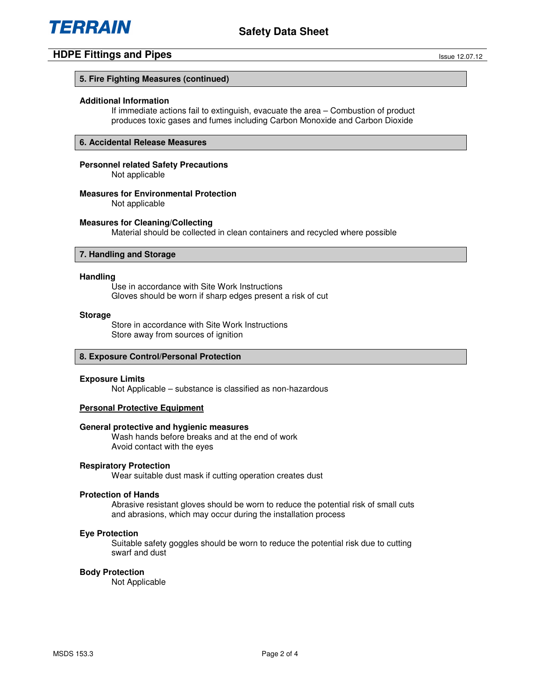

## **5. Fire Fighting Measures (continued)**

#### **Additional Information**

If immediate actions fail to extinguish, evacuate the area – Combustion of product produces toxic gases and fumes including Carbon Monoxide and Carbon Dioxide

## **6. Accidental Release Measures**

## **Personnel related Safety Precautions**

Not applicable

## **Measures for Environmental Protection**

Not applicable

#### **Measures for Cleaning/Collecting**

Material should be collected in clean containers and recycled where possible

## **7. Handling and Storage**

#### **Handling**

Use in accordance with Site Work Instructions Gloves should be worn if sharp edges present a risk of cut

#### **Storage**

Store in accordance with Site Work Instructions Store away from sources of ignition

#### **8. Exposure Control/Personal Protection**

#### **Exposure Limits**

Not Applicable – substance is classified as non-hazardous

## **Personal Protective Equipment**

## **General protective and hygienic measures**

Wash hands before breaks and at the end of work Avoid contact with the eyes

## **Respiratory Protection**

Wear suitable dust mask if cutting operation creates dust

#### **Protection of Hands**

Abrasive resistant gloves should be worn to reduce the potential risk of small cuts and abrasions, which may occur during the installation process

#### **Eye Protection**

Suitable safety goggles should be worn to reduce the potential risk due to cutting swarf and dust

#### **Body Protection**

Not Applicable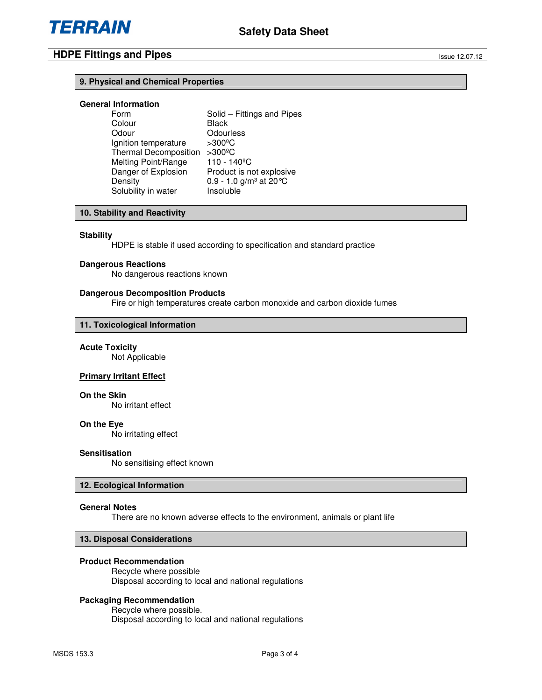## **9. Physical and Chemical Properties**

# **General Information**

Solid – Fittings and Pipes Colour Black Odour **Odourless** Ignition temperature >300ºC Thermal Decomposition >300°C<br>Melting Point/Range 110 - 140°C Melting Point/Range<br>Danger of Explosion Danger of Explosion Product is not explosive<br>Density 0.9 - 1.0  $\alpha/m^3$  at 20 °C  $0.9 - 1.0$  g/m<sup>3</sup> at 20 $^{\circ}$ C<br>Insoluble Solubility in water

## **10. Stability and Reactivity**

#### **Stability**

HDPE is stable if used according to specification and standard practice

#### **Dangerous Reactions**

No dangerous reactions known

#### **Dangerous Decomposition Products**

Fire or high temperatures create carbon monoxide and carbon dioxide fumes

## **11. Toxicological Information**

#### **Acute Toxicity**

Not Applicable

## **Primary Irritant Effect**

#### **On the Skin**

No irritant effect

#### **On the Eye**

No irritating effect

## **Sensitisation**

No sensitising effect known

#### **12. Ecological Information**

## **General Notes**

There are no known adverse effects to the environment, animals or plant life

## **13. Disposal Considerations**

#### **Product Recommendation**

Recycle where possible Disposal according to local and national regulations

## **Packaging Recommendation**

Recycle where possible. Disposal according to local and national regulations